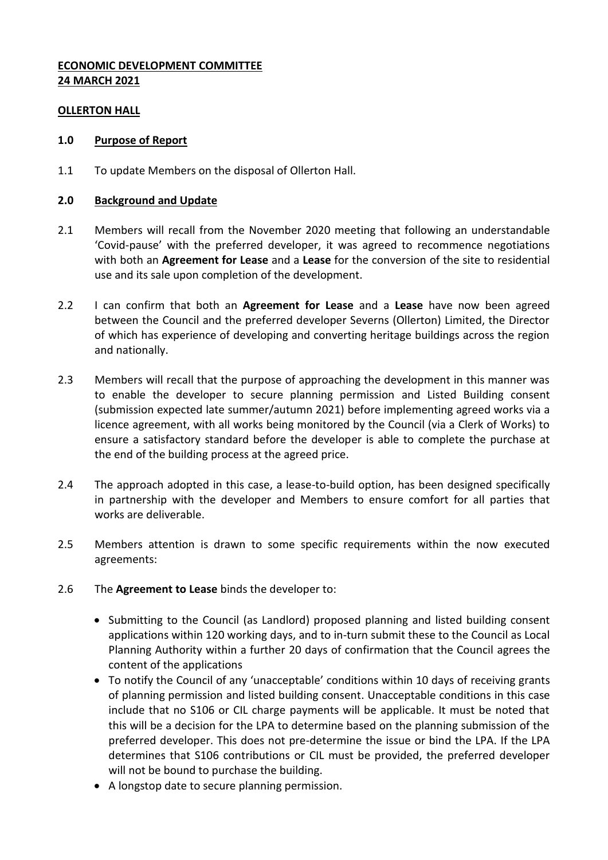## **ECONOMIC DEVELOPMENT COMMITTEE 24 MARCH 2021**

#### **OLLERTON HALL**

#### **1.0 Purpose of Report**

1.1 To update Members on the disposal of Ollerton Hall.

#### **2.0 Background and Update**

- 2.1 Members will recall from the November 2020 meeting that following an understandable 'Covid-pause' with the preferred developer, it was agreed to recommence negotiations with both an **Agreement for Lease** and a **Lease** for the conversion of the site to residential use and its sale upon completion of the development.
- 2.2 I can confirm that both an **Agreement for Lease** and a **Lease** have now been agreed between the Council and the preferred developer Severns (Ollerton) Limited, the Director of which has experience of developing and converting heritage buildings across the region and nationally.
- 2.3 Members will recall that the purpose of approaching the development in this manner was to enable the developer to secure planning permission and Listed Building consent (submission expected late summer/autumn 2021) before implementing agreed works via a licence agreement, with all works being monitored by the Council (via a Clerk of Works) to ensure a satisfactory standard before the developer is able to complete the purchase at the end of the building process at the agreed price.
- 2.4 The approach adopted in this case, a lease-to-build option, has been designed specifically in partnership with the developer and Members to ensure comfort for all parties that works are deliverable.
- 2.5 Members attention is drawn to some specific requirements within the now executed agreements:
- 2.6 The **Agreement to Lease** binds the developer to:
	- Submitting to the Council (as Landlord) proposed planning and listed building consent applications within 120 working days, and to in-turn submit these to the Council as Local Planning Authority within a further 20 days of confirmation that the Council agrees the content of the applications
	- To notify the Council of any 'unacceptable' conditions within 10 days of receiving grants of planning permission and listed building consent. Unacceptable conditions in this case include that no S106 or CIL charge payments will be applicable. It must be noted that this will be a decision for the LPA to determine based on the planning submission of the preferred developer. This does not pre-determine the issue or bind the LPA. If the LPA determines that S106 contributions or CIL must be provided, the preferred developer will not be bound to purchase the building.
	- A longstop date to secure planning permission.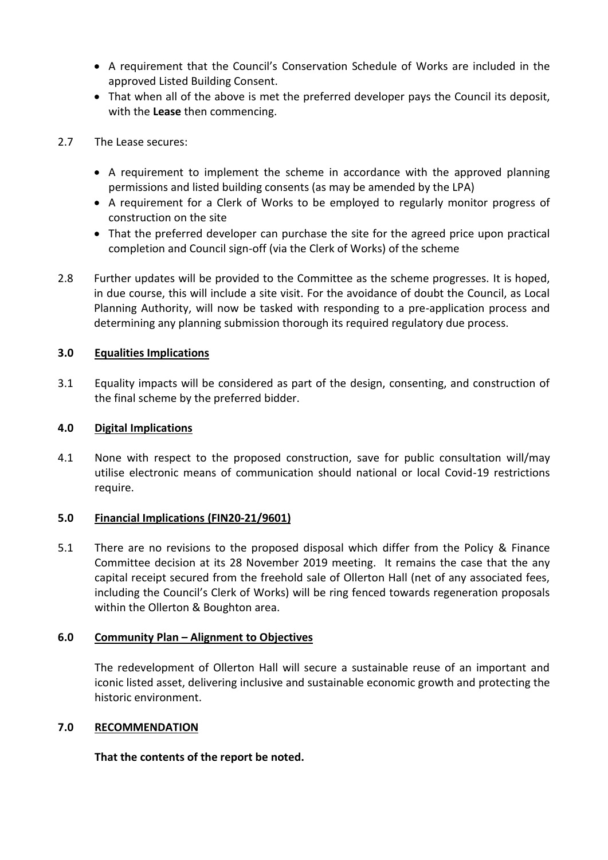- A requirement that the Council's Conservation Schedule of Works are included in the approved Listed Building Consent.
- That when all of the above is met the preferred developer pays the Council its deposit, with the **Lease** then commencing.
- 2.7 The Lease secures:
	- A requirement to implement the scheme in accordance with the approved planning permissions and listed building consents (as may be amended by the LPA)
	- A requirement for a Clerk of Works to be employed to regularly monitor progress of construction on the site
	- That the preferred developer can purchase the site for the agreed price upon practical completion and Council sign-off (via the Clerk of Works) of the scheme
- 2.8 Further updates will be provided to the Committee as the scheme progresses. It is hoped, in due course, this will include a site visit. For the avoidance of doubt the Council, as Local Planning Authority, will now be tasked with responding to a pre-application process and determining any planning submission thorough its required regulatory due process.

## **3.0 Equalities Implications**

3.1 Equality impacts will be considered as part of the design, consenting, and construction of the final scheme by the preferred bidder.

#### **4.0 Digital Implications**

4.1 None with respect to the proposed construction, save for public consultation will/may utilise electronic means of communication should national or local Covid-19 restrictions require.

#### **5.0 Financial Implications (FIN20-21/9601)**

5.1 There are no revisions to the proposed disposal which differ from the Policy & Finance Committee decision at its 28 November 2019 meeting. It remains the case that the any capital receipt secured from the freehold sale of Ollerton Hall (net of any associated fees, including the Council's Clerk of Works) will be ring fenced towards regeneration proposals within the Ollerton & Boughton area.

#### **6.0 Community Plan – Alignment to Objectives**

The redevelopment of Ollerton Hall will secure a sustainable reuse of an important and iconic listed asset, delivering inclusive and sustainable economic growth and protecting the historic environment.

#### **7.0 RECOMMENDATION**

# **That the contents of the report be noted.**